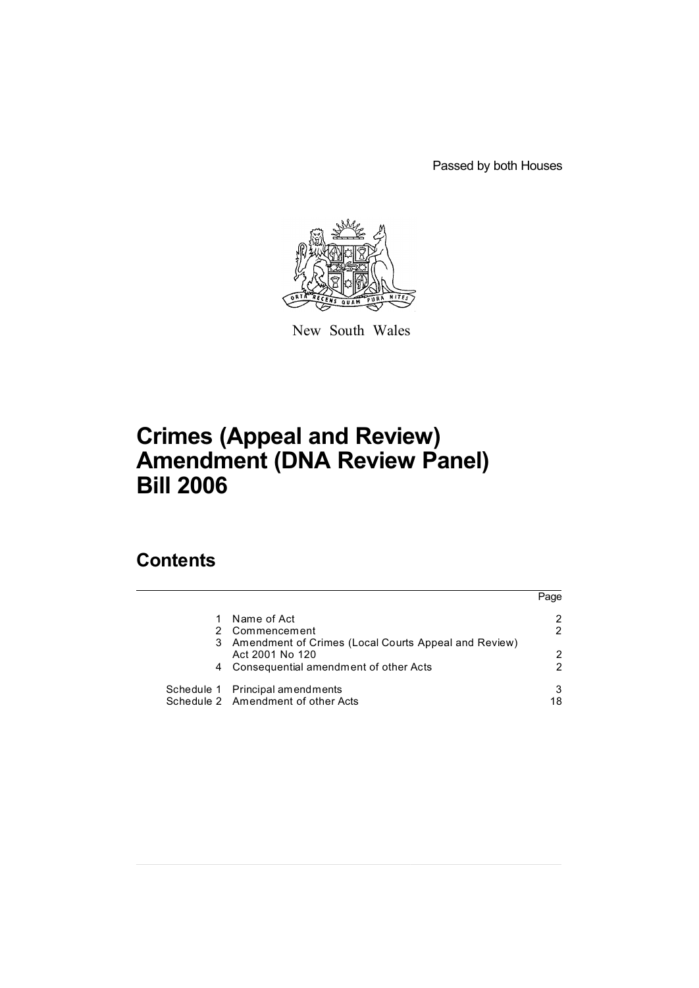Passed by both Houses



New South Wales

# **Crimes (Appeal and Review) Amendment (DNA Review Panel) Bill 2006**

# **Contents**

|   |                                                      | Page          |
|---|------------------------------------------------------|---------------|
|   | Name of Act                                          | 2             |
|   | Commencement                                         | $\mathcal{P}$ |
| 3 | Amendment of Crimes (Local Courts Appeal and Review) |               |
|   | Act 2001 No 120                                      | $\mathcal{L}$ |
| 4 | Consequential amendment of other Acts                | 2             |
|   | Schedule 1 Principal amendments                      | 3             |
|   | Schedule 2 Amendment of other Acts                   | 18            |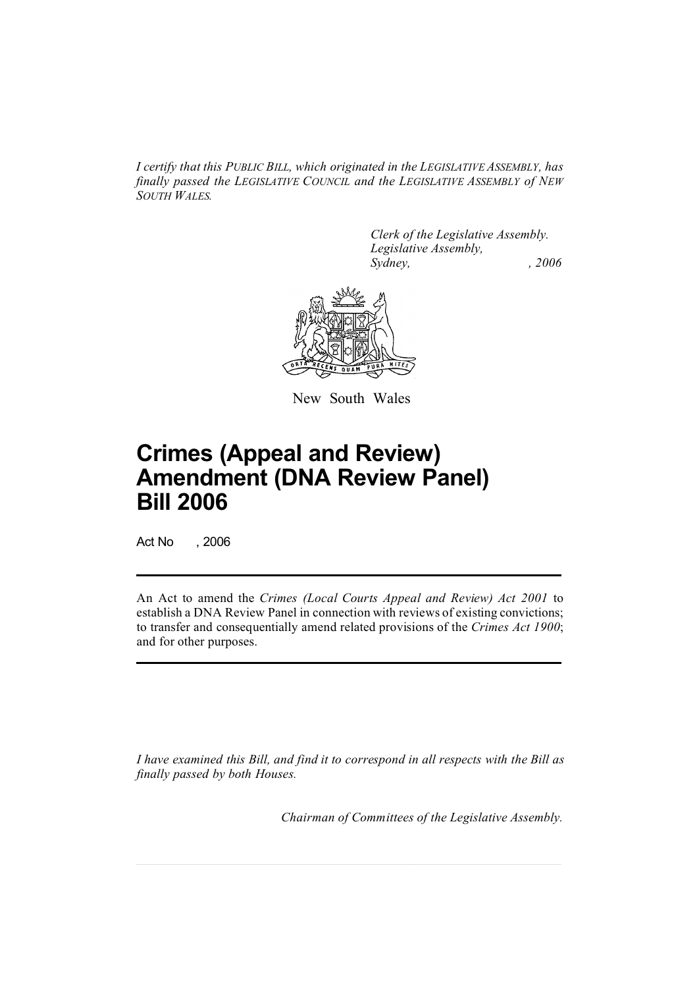*I certify that this PUBLIC BILL, which originated in the LEGISLATIVE ASSEMBLY, has finally passed the LEGISLATIVE COUNCIL and the LEGISLATIVE ASSEMBLY of NEW SOUTH WALES.*

> *Clerk of the Legislative Assembly. Legislative Assembly, Sydney, , 2006*



New South Wales

# **Crimes (Appeal and Review) Amendment (DNA Review Panel) Bill 2006**

Act No , 2006

An Act to amend the *Crimes (Local Courts Appeal and Review) Act 2001* to establish a DNA Review Panel in connection with reviews of existing convictions; to transfer and consequentially amend related provisions of the *Crimes Act 1900*; and for other purposes.

*I have examined this Bill, and find it to correspond in all respects with the Bill as finally passed by both Houses.*

*Chairman of Committees of the Legislative Assembly.*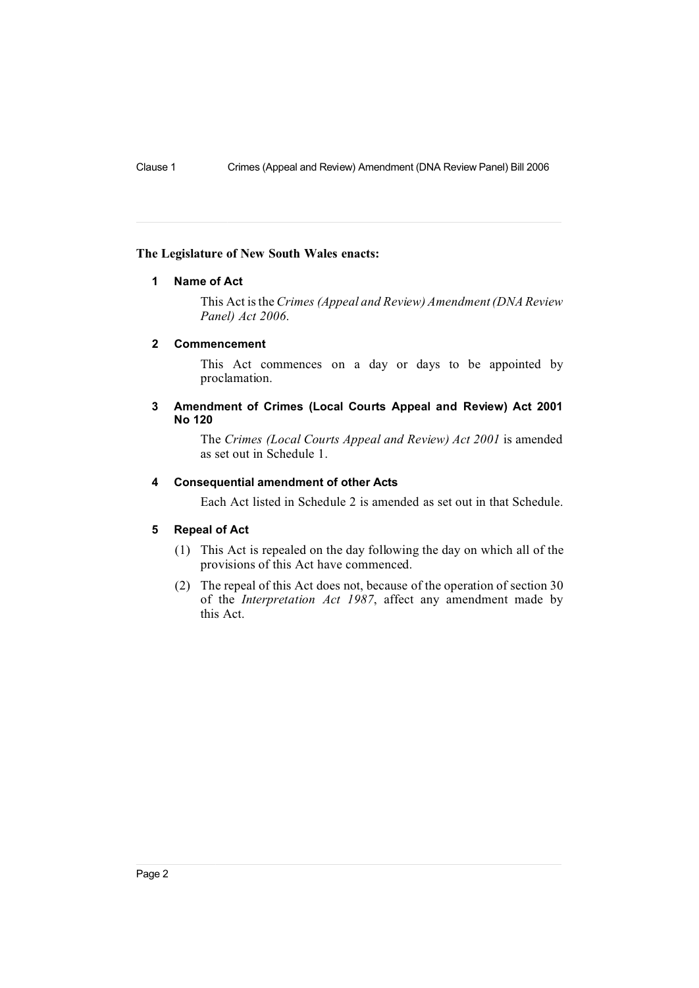#### **The Legislature of New South Wales enacts:**

# **1 Name of Act**

This Act isthe *Crimes (Appeal and Review) Amendment(DNA Review Panel) Act 2006*.

## **2 Commencement**

This Act commences on a day or days to be appointed by proclamation.

# **3 Amendment of Crimes (Local Courts Appeal and Review) Act 2001 No 120**

The *Crimes (Local Courts Appeal and Review) Act 2001* is amended as set out in Schedule 1.

# **4 Consequential amendment of other Acts**

Each Act listed in Schedule 2 is amended as set out in that Schedule.

#### **5 Repeal of Act**

- (1) This Act is repealed on the day following the day on which all of the provisions of this Act have commenced.
- (2) The repeal of this Act does not, because of the operation of section 30 of the *Interpretation Act 1987*, affect any amendment made by this Act.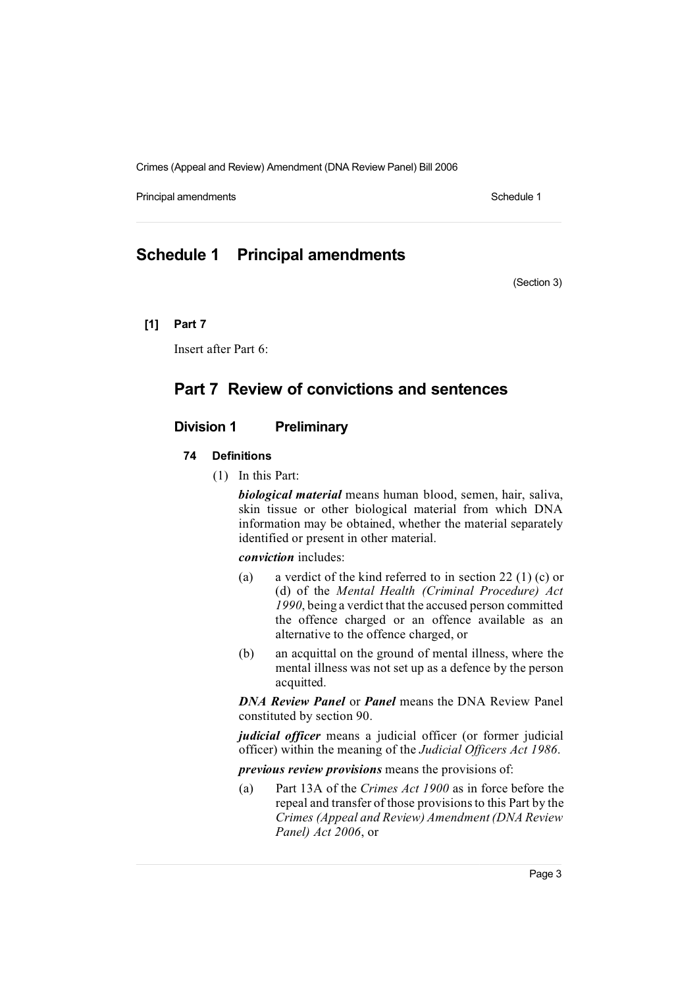Principal amendments **Schedule 1** Schedule 1

# **Schedule 1 Principal amendments**

(Section 3)

# **[1] Part 7**

Insert after Part 6:

# **Part 7 Review of convictions and sentences**

# **Division 1 Preliminary**

# **74 Definitions**

(1) In this Part:

*biological material* means human blood, semen, hair, saliva, skin tissue or other biological material from which DNA information may be obtained, whether the material separately identified or present in other material.

*conviction* includes:

- (a) a verdict of the kind referred to in section 22 (1) (c) or (d) of the *Mental Health (Criminal Procedure) Act 1990*, being a verdict that the accused person committed the offence charged or an offence available as an alternative to the offence charged, or
- (b) an acquittal on the ground of mental illness, where the mental illness was not set up as a defence by the person acquitted.

*DNA Review Panel* or *Panel* means the DNA Review Panel constituted by section 90.

*judicial officer* means a judicial officer (or former judicial officer) within the meaning of the *Judicial Officers Act 1986*.

*previous review provisions* means the provisions of:

(a) Part 13A of the *Crimes Act 1900* as in force before the repeal and transfer of those provisionsto this Part by the *Crimes (Appeal and Review) Amendment (DNA Review Panel) Act 2006*, or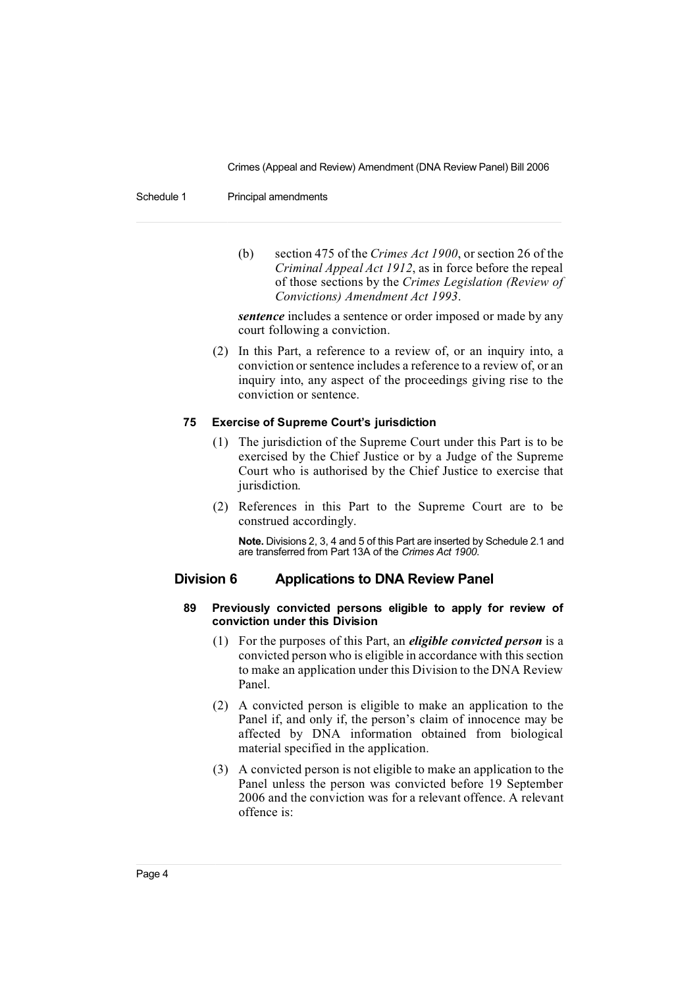#### Schedule 1 Principal amendments

(b) section 475 of the *Crimes Act 1900*, or section 26 of the *Criminal Appeal Act 1912*, as in force before the repeal of those sections by the *Crimes Legislation (Review of Convictions) Amendment Act 1993*.

*sentence* includes a sentence or order imposed or made by any court following a conviction.

(2) In this Part, a reference to a review of, or an inquiry into, a conviction orsentence includes a reference to a review of, or an inquiry into, any aspect of the proceedings giving rise to the conviction or sentence.

#### **75 Exercise of Supreme Court's jurisdiction**

- (1) The jurisdiction of the Supreme Court under this Part is to be exercised by the Chief Justice or by a Judge of the Supreme Court who is authorised by the Chief Justice to exercise that jurisdiction.
- (2) References in this Part to the Supreme Court are to be construed accordingly.

**Note.** Divisions 2, 3, 4 and 5 of this Part are inserted by Schedule 2.1 and are transferred from Part 13A of the *Crimes Act 1900*.

# **Division 6 Applications to DNA Review Panel**

#### **89 Previously convicted persons eligible to apply for review of conviction under this Division**

- (1) For the purposes of this Part, an *eligible convicted person* is a convicted person who is eligible in accordance with this section to make an application under this Division to the DNA Review Panel.
- (2) A convicted person is eligible to make an application to the Panel if, and only if, the person's claim of innocence may be affected by DNA information obtained from biological material specified in the application.
- (3) A convicted person is not eligible to make an application to the Panel unless the person was convicted before 19 September 2006 and the conviction was for a relevant offence. A relevant offence is: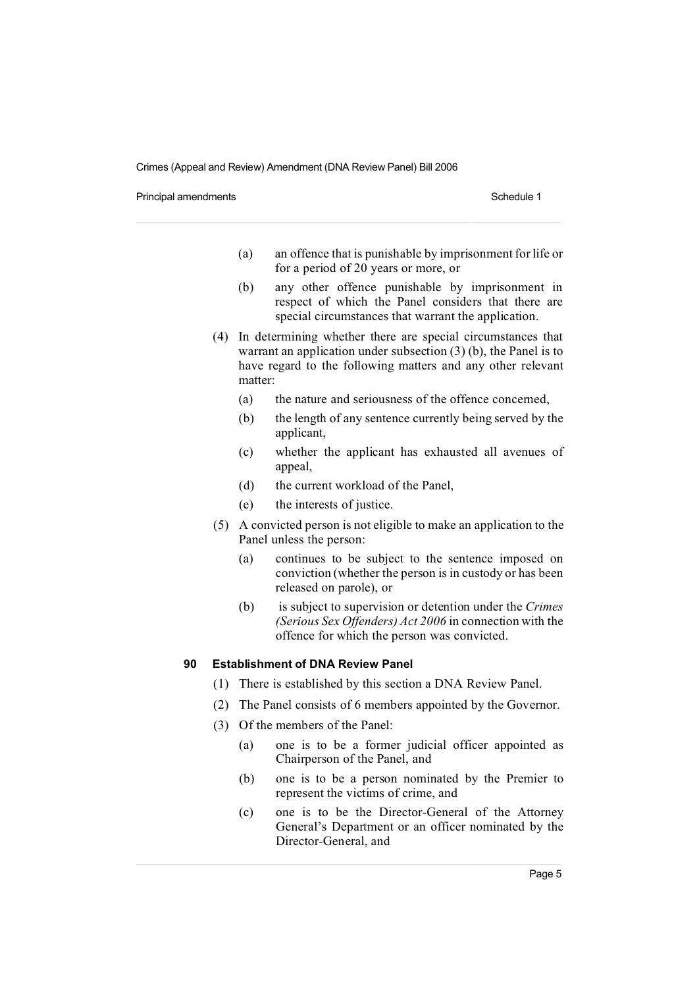Principal amendments **Schedule 1** Schedule 1

- $(a)$  an offence that is punishable by imprisonment for life or for a period of 20 years or more, or
- (b) any other offence punishable by imprisonment in respect of which the Panel considers that there are special circumstances that warrant the application.
- (4) In determining whether there are special circumstances that warrant an application under subsection (3) (b), the Panel is to have regard to the following matters and any other relevant matter:
	- (a) the nature and seriousness of the offence concerned,
	- (b) the length of any sentence currently being served by the applicant,
	- (c) whether the applicant has exhausted all avenues of appeal,
	- (d) the current workload of the Panel,
	- (e) the interests of justice.
- (5) A convicted person is not eligible to make an application to the Panel unless the person:
	- (a) continues to be subject to the sentence imposed on conviction (whether the person is in custody or has been released on parole), or
	- (b) is subject to supervision or detention under the *Crimes (Serious Sex Offenders) Act 2006* in connection with the offence for which the person was convicted.

## **90 Establishment of DNA Review Panel**

- (1) There is established by this section a DNA Review Panel.
- (2) The Panel consists of 6 members appointed by the Governor.
- (3) Of the members of the Panel:
	- (a) one is to be a former judicial officer appointed as Chairperson of the Panel, and
	- (b) one is to be a person nominated by the Premier to represent the victims of crime, and
	- (c) one is to be the Director-General of the Attorney General's Department or an officer nominated by the Director-General, and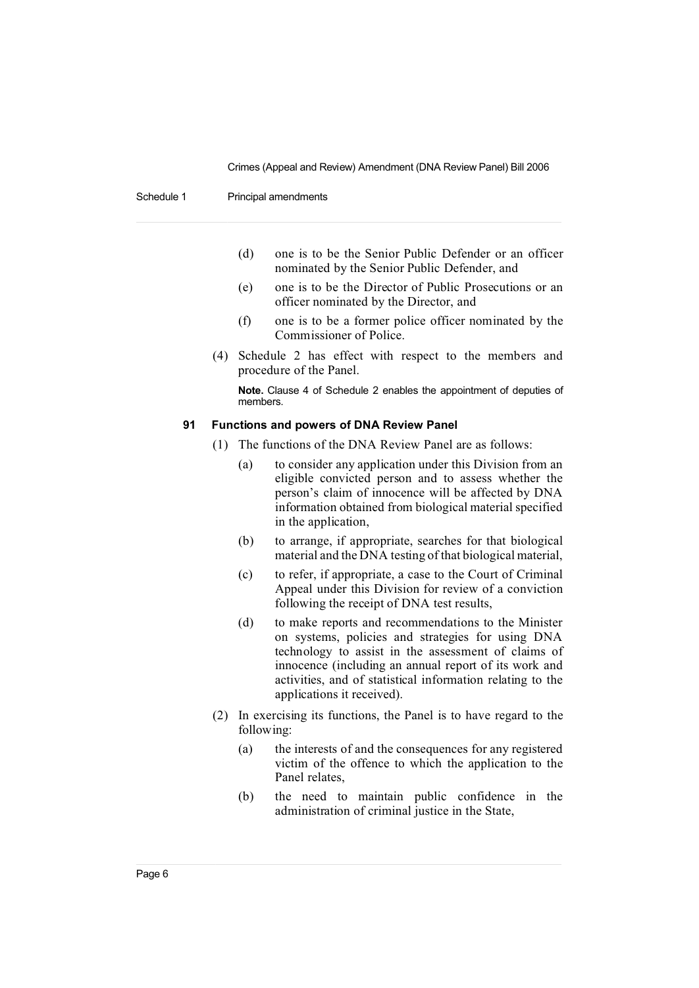Schedule 1 Principal amendments

- (d) one is to be the Senior Public Defender or an officer nominated by the Senior Public Defender, and
- (e) one is to be the Director of Public Prosecutions or an officer nominated by the Director, and
- (f) one is to be a former police officer nominated by the Commissioner of Police.
- (4) Schedule 2 has effect with respect to the members and procedure of the Panel.

**Note.** Clause 4 of Schedule 2 enables the appointment of deputies of members.

#### **91 Functions and powers of DNA Review Panel**

- (1) The functions of the DNA Review Panel are as follows:
	- (a) to consider any application under this Division from an eligible convicted person and to assess whether the person's claim of innocence will be affected by DNA information obtained from biological material specified in the application,
	- (b) to arrange, if appropriate, searches for that biological material and the DNA testing of that biological material,
	- (c) to refer, if appropriate, a case to the Court of Criminal Appeal under this Division for review of a conviction following the receipt of DNA test results,
	- (d) to make reports and recommendations to the Minister on systems, policies and strategies for using DNA technology to assist in the assessment of claims of innocence (including an annual report of its work and activities, and of statistical information relating to the applications it received).
- (2) In exercising its functions, the Panel is to have regard to the following:
	- (a) the interests of and the consequences for any registered victim of the offence to which the application to the Panel relates,
	- (b) the need to maintain public confidence in the administration of criminal justice in the State,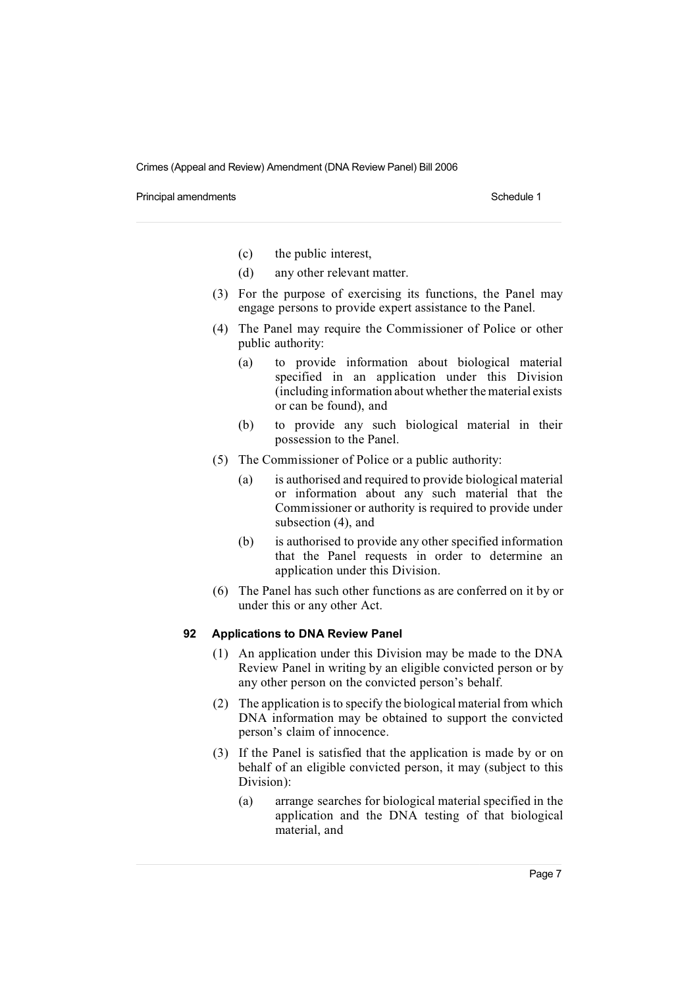Principal amendments **Schedule 1** Schedule 1

- (c) the public interest,
- (d) any other relevant matter.
- (3) For the purpose of exercising its functions, the Panel may engage persons to provide expert assistance to the Panel.
- (4) The Panel may require the Commissioner of Police or other public authority:
	- (a) to provide information about biological material specified in an application under this Division (including information about whether thematerial exists or can be found), and
	- (b) to provide any such biological material in their possession to the Panel.
- (5) The Commissioner of Police or a public authority:
	- (a) is authorised and required to provide biological material or information about any such material that the Commissioner or authority is required to provide under subsection (4), and
	- (b) is authorised to provide any other specified information that the Panel requests in order to determine an application under this Division.
- (6) The Panel has such other functions as are conferred on it by or under this or any other Act.

#### **92 Applications to DNA Review Panel**

- (1) An application under this Division may be made to the DNA Review Panel in writing by an eligible convicted person or by any other person on the convicted person's behalf.
- (2) The application is to specify the biological material from which DNA information may be obtained to support the convicted person's claim of innocence.
- (3) If the Panel is satisfied that the application is made by or on behalf of an eligible convicted person, it may (subject to this Division):
	- (a) arrange searches for biological material specified in the application and the DNA testing of that biological material, and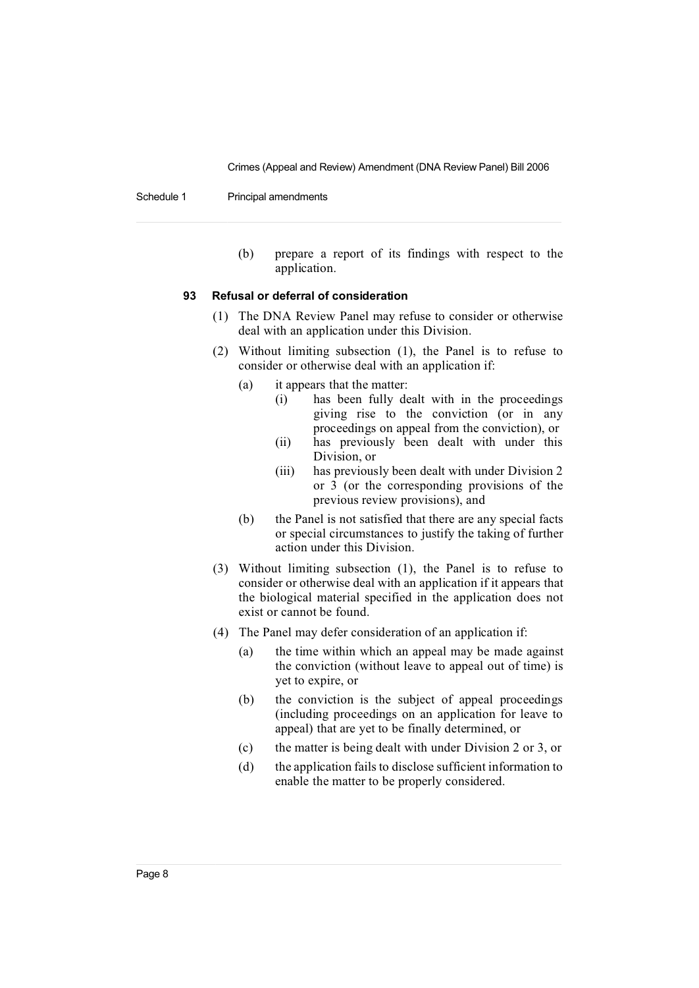Schedule 1 Principal amendments

(b) prepare a report of its findings with respect to the application.

#### **93 Refusal or deferral of consideration**

- (1) The DNA Review Panel may refuse to consider or otherwise deal with an application under this Division.
- (2) Without limiting subsection (1), the Panel is to refuse to consider or otherwise deal with an application if:
	- (a) it appears that the matter:
		- (i) has been fully dealt with in the proceedings giving rise to the conviction (or in any proceedings on appeal from the conviction), or
		- (ii) has previously been dealt with under this Division, or
		- (iii) has previously been dealt with under Division 2 or 3 (or the corresponding provisions of the previous review provisions), and
	- (b) the Panel is not satisfied that there are any special facts or special circumstances to justify the taking of further action under this Division.
- (3) Without limiting subsection (1), the Panel is to refuse to consider or otherwise deal with an application if it appears that the biological material specified in the application does not exist or cannot be found.
- (4) The Panel may defer consideration of an application if:
	- (a) the time within which an appeal may be made against the conviction (without leave to appeal out of time) is yet to expire, or
	- (b) the conviction is the subject of appeal proceedings (including proceedings on an application for leave to appeal) that are yet to be finally determined, or
	- (c) the matter is being dealt with under Division 2 or 3, or
	- (d) the application fails to disclose sufficient information to enable the matter to be properly considered.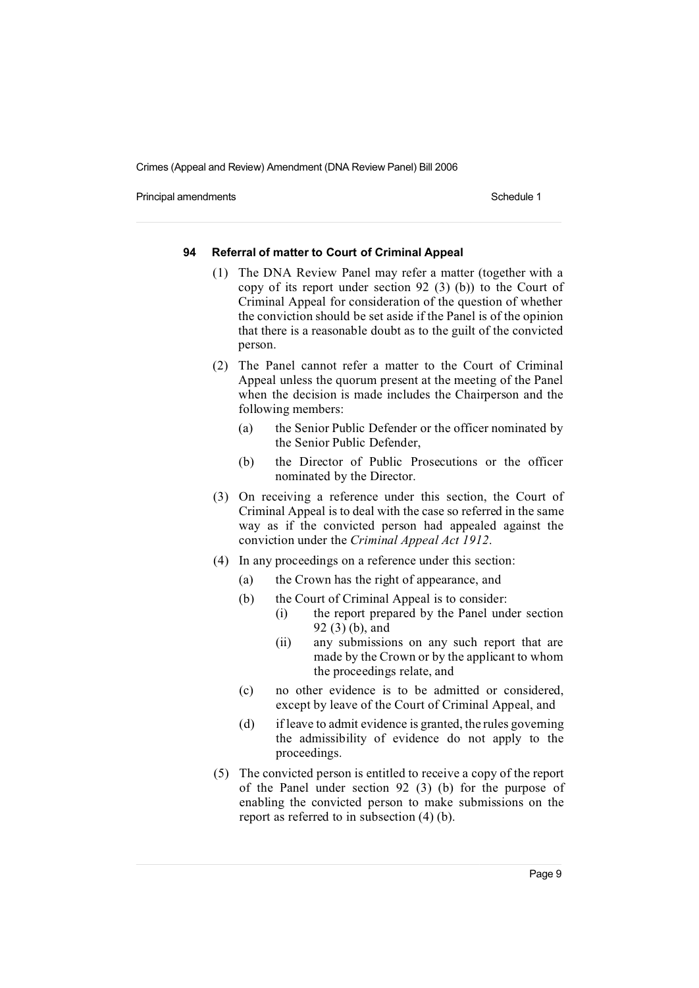Principal amendments **Schedule 1** Schedule 1

#### **94 Referral of matter to Court of Criminal Appeal**

- (1) The DNA Review Panel may refer a matter (together with a copy of its report under section 92 (3) (b)) to the Court of Criminal Appeal for consideration of the question of whether the conviction should be set aside if the Panel is of the opinion that there is a reasonable doubt as to the guilt of the convicted person.
- (2) The Panel cannot refer a matter to the Court of Criminal Appeal unless the quorum present at the meeting of the Panel when the decision is made includes the Chairperson and the following members:
	- (a) the Senior Public Defender or the officer nominated by the Senior Public Defender,
	- (b) the Director of Public Prosecutions or the officer nominated by the Director.
- (3) On receiving a reference under this section, the Court of Criminal Appeal is to deal with the case so referred in the same way as if the convicted person had appealed against the conviction under the *Criminal Appeal Act 1912*.
- (4) In any proceedings on a reference under this section:
	- (a) the Crown has the right of appearance, and
	- (b) the Court of Criminal Appeal is to consider:
		- (i) the report prepared by the Panel under section 92 (3) (b), and
		- (ii) any submissions on any such report that are made by the Crown or by the applicant to whom the proceedings relate, and
	- (c) no other evidence is to be admitted or considered, except by leave of the Court of Criminal Appeal, and
	- (d) if leave to admit evidence is granted, the rules governing the admissibility of evidence do not apply to the proceedings.
- (5) The convicted person is entitled to receive a copy of the report of the Panel under section 92 (3) (b) for the purpose of enabling the convicted person to make submissions on the report as referred to in subsection (4) (b).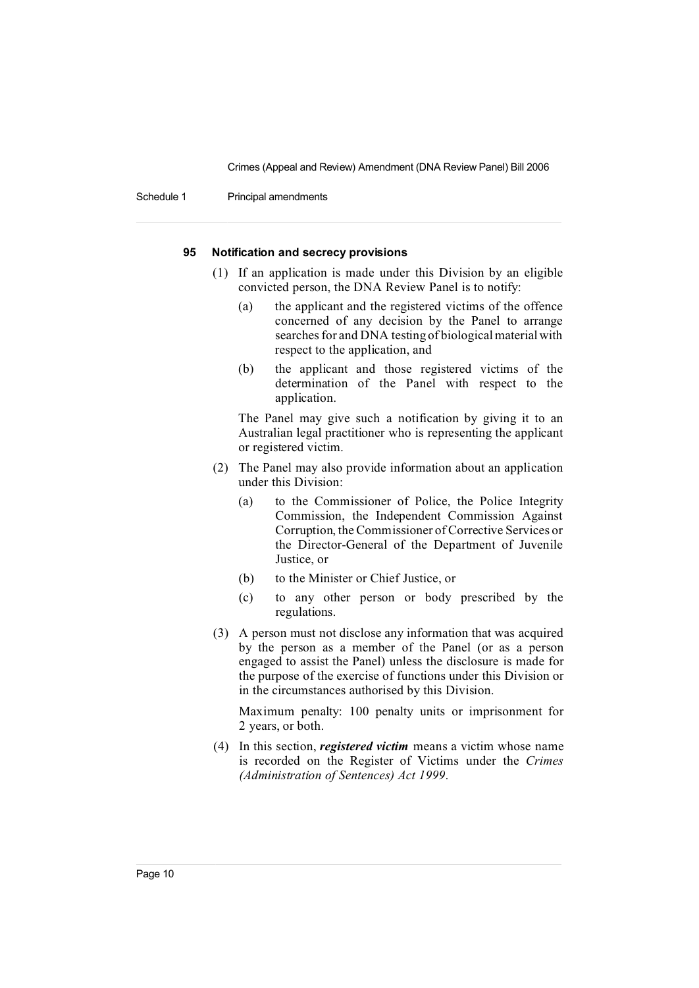Schedule 1 Principal amendments

#### **95 Notification and secrecy provisions**

- (1) If an application is made under this Division by an eligible convicted person, the DNA Review Panel is to notify:
	- (a) the applicant and the registered victims of the offence concerned of any decision by the Panel to arrange searches for and DNA testing of biological material with respect to the application, and
	- (b) the applicant and those registered victims of the determination of the Panel with respect to the application.

The Panel may give such a notification by giving it to an Australian legal practitioner who is representing the applicant or registered victim.

- (2) The Panel may also provide information about an application under this Division:
	- (a) to the Commissioner of Police, the Police Integrity Commission, the Independent Commission Against Corruption, theCommissioner of Corrective Services or the Director-General of the Department of Juvenile Justice, or
	- (b) to the Minister or Chief Justice, or
	- (c) to any other person or body prescribed by the regulations.
- (3) A person must not disclose any information that was acquired by the person as a member of the Panel (or as a person engaged to assist the Panel) unless the disclosure is made for the purpose of the exercise of functions under this Division or in the circumstances authorised by this Division.

Maximum penalty: 100 penalty units or imprisonment for 2 years, or both.

(4) In this section, *registered victim* means a victim whose name is recorded on the Register of Victims under the *Crimes (Administration of Sentences) Act 1999*.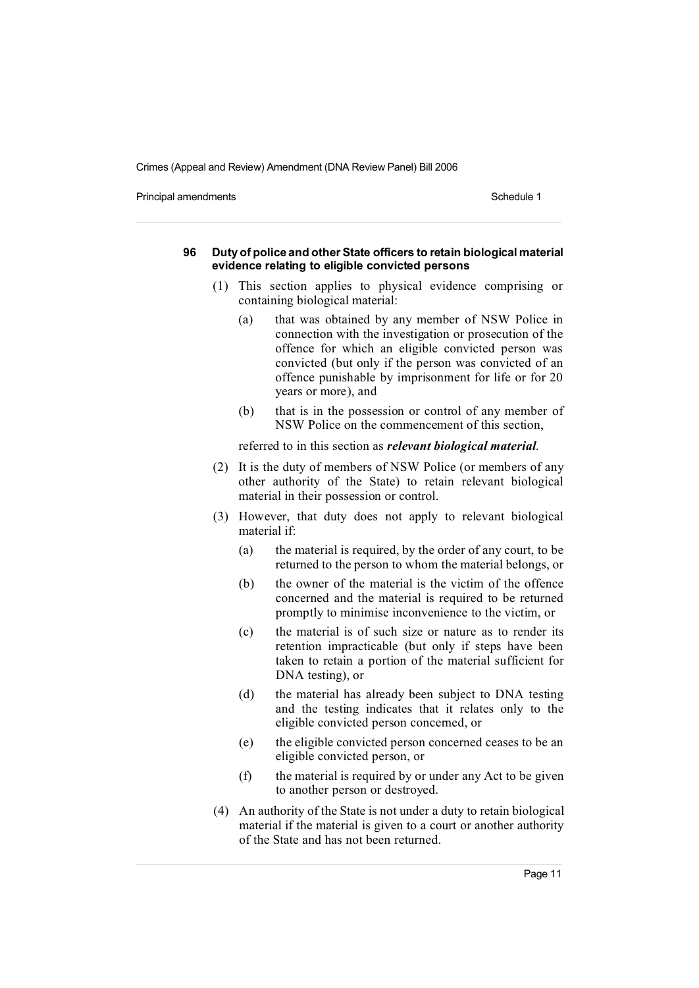Principal amendments **Schedule 1** and the state of the state of the Schedule 1

#### **96 Duty of police and other State officers to retain biological material evidence relating to eligible convicted persons**

- (1) This section applies to physical evidence comprising or containing biological material:
	- (a) that was obtained by any member of NSW Police in connection with the investigation or prosecution of the offence for which an eligible convicted person was convicted (but only if the person was convicted of an offence punishable by imprisonment for life or for 20 years or more), and
	- (b) that is in the possession or control of any member of NSW Police on the commencement of this section,

referred to in this section as *relevant biological material*.

- (2) It is the duty of members of NSW Police (or members of any other authority of the State) to retain relevant biological material in their possession or control.
- (3) However, that duty does not apply to relevant biological material if:
	- (a) the material is required, by the order of any court, to be returned to the person to whom the material belongs, or
	- (b) the owner of the material is the victim of the offence concerned and the material is required to be returned promptly to minimise inconvenience to the victim, or
	- (c) the material is of such size or nature as to render its retention impracticable (but only if steps have been taken to retain a portion of the material sufficient for DNA testing), or
	- (d) the material has already been subject to DNA testing and the testing indicates that it relates only to the eligible convicted person concerned, or
	- (e) the eligible convicted person concerned ceases to be an eligible convicted person, or
	- (f) the material is required by or under any Act to be given to another person or destroyed.
- (4) An authority of the State is not under a duty to retain biological material if the material is given to a court or another authority of the State and has not been returned.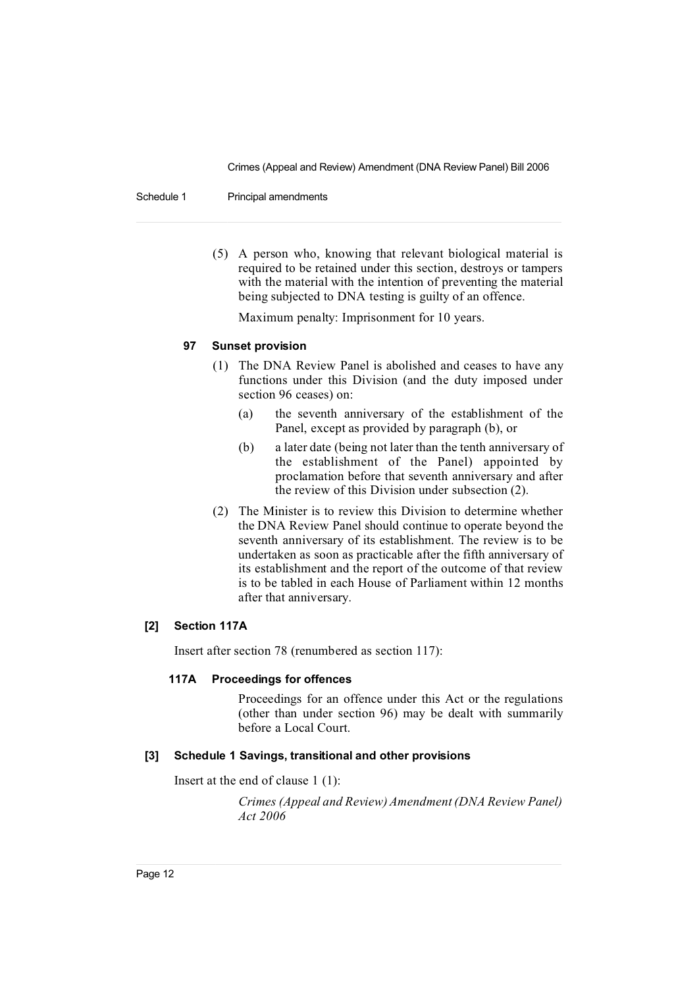Schedule 1 Principal amendments

(5) A person who, knowing that relevant biological material is required to be retained under this section, destroys or tampers with the material with the intention of preventing the material being subjected to DNA testing is guilty of an offence.

Maximum penalty: Imprisonment for 10 years.

### **97 Sunset provision**

- (1) The DNA Review Panel is abolished and ceases to have any functions under this Division (and the duty imposed under section 96 ceases) on:
	- (a) the seventh anniversary of the establishment of the Panel, except as provided by paragraph (b), or
	- (b) a later date (being not later than the tenth anniversary of the establishment of the Panel) appointed by proclamation before that seventh anniversary and after the review of this Division under subsection (2).
- (2) The Minister is to review this Division to determine whether the DNA Review Panel should continue to operate beyond the seventh anniversary of its establishment. The review is to be undertaken as soon as practicable after the fifth anniversary of its establishment and the report of the outcome of that review is to be tabled in each House of Parliament within 12 months after that anniversary.

# **[2] Section 117A**

Insert after section 78 (renumbered as section 117):

#### **117A Proceedings for offences**

Proceedings for an offence under this Act or the regulations (other than under section 96) may be dealt with summarily before a Local Court.

#### **[3] Schedule 1 Savings, transitional and other provisions**

Insert at the end of clause 1 (1):

*Crimes (Appeal and Review)Amendment (DNA Review Panel) Act 2006*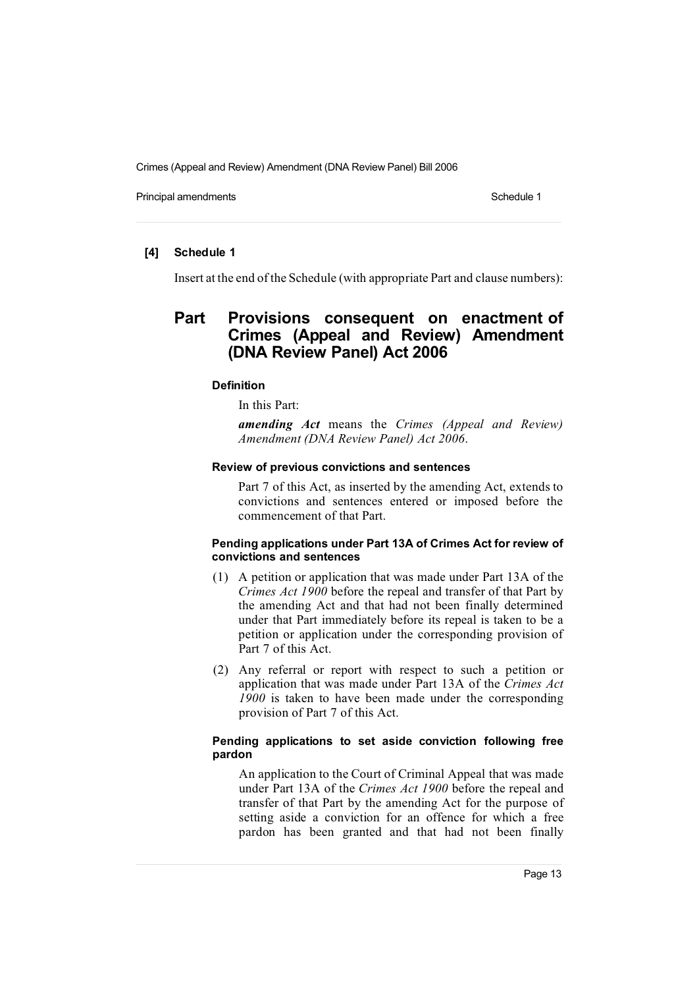Principal amendments **Schedule 1** Schedule 1

# **[4] Schedule 1**

Insert at the end of the Schedule (with appropriate Part and clause numbers):

# **Part Provisions consequent on enactment of Crimes (Appeal and Review) Amendment (DNA Review Panel) Act 2006**

## **Definition**

In this Part:

*amending Act* means the *Crimes (Appeal and Review) Amendment (DNA Review Panel) Act 2006*.

#### **Review of previous convictions and sentences**

Part 7 of this Act, as inserted by the amending Act, extends to convictions and sentences entered or imposed before the commencement of that Part.

## **Pending applications under Part 13A of Crimes Act for review of convictions and sentences**

- (1) A petition or application that was made under Part 13A of the *Crimes Act 1900* before the repeal and transfer of that Part by the amending Act and that had not been finally determined under that Part immediately before its repeal is taken to be a petition or application under the corresponding provision of Part 7 of this Act.
- (2) Any referral or report with respect to such a petition or application that was made under Part 13A of the *Crimes Act 1900* is taken to have been made under the corresponding provision of Part 7 of this Act.

# **Pending applications to set aside conviction following free pardon**

An application to the Court of Criminal Appeal that was made under Part 13A of the *Crimes Act 1900* before the repeal and transfer of that Part by the amending Act for the purpose of setting aside a conviction for an offence for which a free pardon has been granted and that had not been finally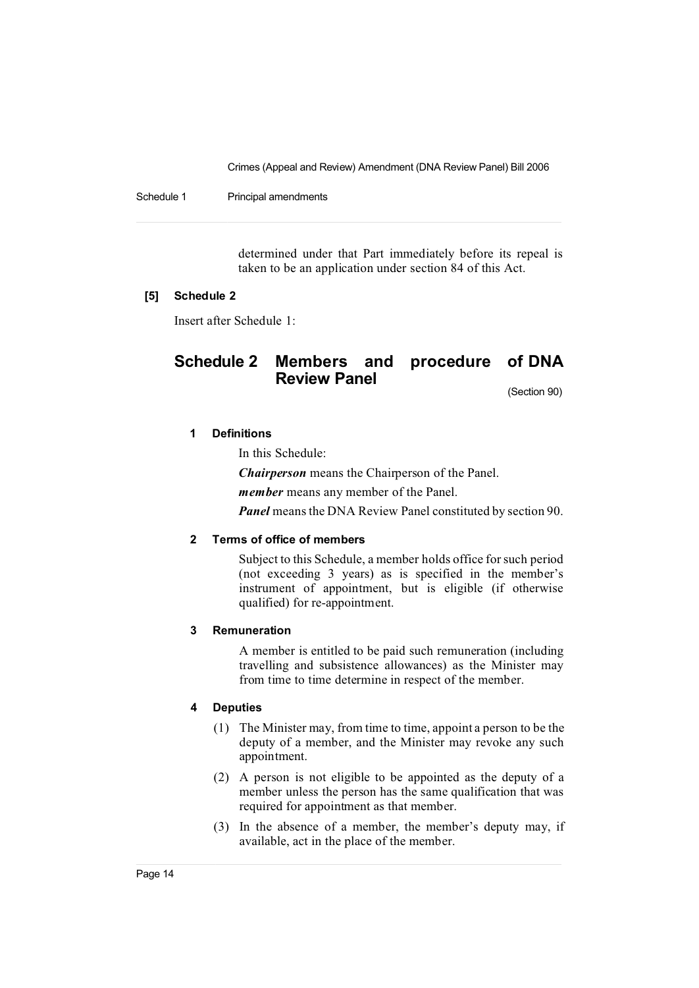Schedule 1 Principal amendments

determined under that Part immediately before its repeal is taken to be an application under section 84 of this Act.

### **[5] Schedule 2**

Insert after Schedule 1:

# **Schedule 2 Members and procedure of DNA Review Panel**

(Section 90)

# **1 Definitions**

In this Schedule:

*Chairperson* means the Chairperson of the Panel.

*member* means any member of the Panel.

*Panel* means the DNA Review Panel constituted by section 90.

# **2 Terms of office of members**

Subject to this Schedule, a member holds office for such period (not exceeding 3 years) as is specified in the member's instrument of appointment, but is eligible (if otherwise qualified) for re-appointment.

## **3 Remuneration**

A member is entitled to be paid such remuneration (including travelling and subsistence allowances) as the Minister may from time to time determine in respect of the member.

#### **4 Deputies**

- (1) The Minister may, from time to time, appoint a person to be the deputy of a member, and the Minister may revoke any such appointment.
- (2) A person is not eligible to be appointed as the deputy of a member unless the person has the same qualification that was required for appointment as that member.
- (3) In the absence of a member, the member's deputy may, if available, act in the place of the member.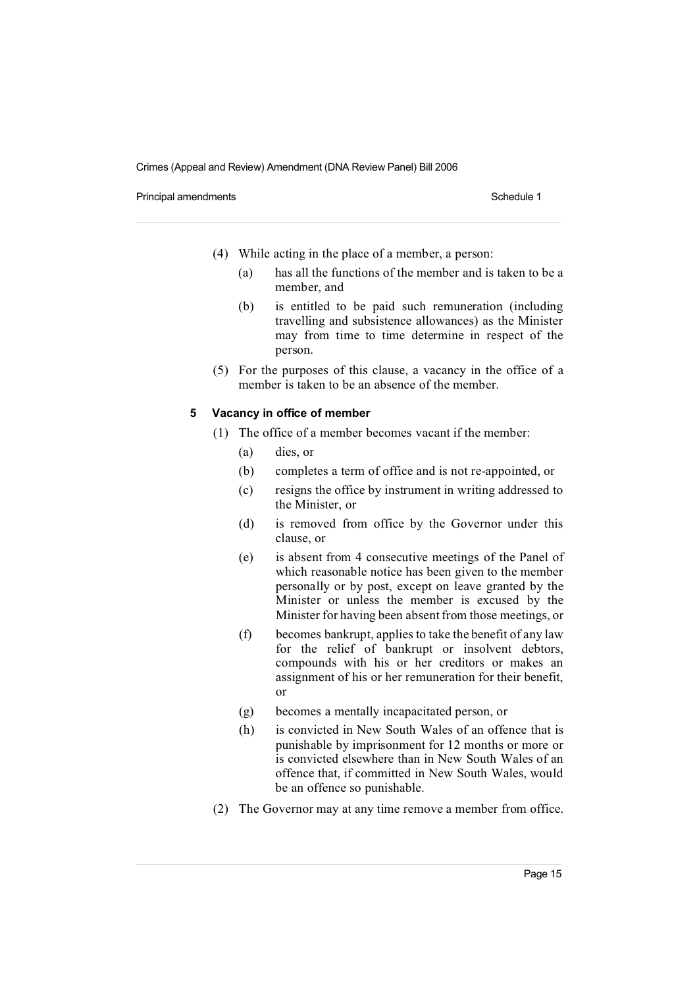Principal amendments **Schedule 1** Schedule 1

- (4) While acting in the place of a member, a person:
	- (a) has all the functions of the member and is taken to be a member, and
	- (b) is entitled to be paid such remuneration (including travelling and subsistence allowances) as the Minister may from time to time determine in respect of the person.
- (5) For the purposes of this clause, a vacancy in the office of a member is taken to be an absence of the member.

#### **5 Vacancy in office of member**

- (1) The office of a member becomes vacant if the member:
	- (a) dies, or
	- (b) completes a term of office and is not re-appointed, or
	- (c) resigns the office by instrument in writing addressed to the Minister, or
	- (d) is removed from office by the Governor under this clause, or
	- (e) is absent from 4 consecutive meetings of the Panel of which reasonable notice has been given to the member personally or by post, except on leave granted by the Minister or unless the member is excused by the Minister for having been absent from those meetings, or
	- (f) becomes bankrupt, applies to take the benefit of any law for the relief of bankrupt or insolvent debtors, compounds with his or her creditors or makes an assignment of his or her remuneration for their benefit, or
	- (g) becomes a mentally incapacitated person, or
	- (h) is convicted in New South Wales of an offence that is punishable by imprisonment for 12 months or more or is convicted elsewhere than in New South Wales of an offence that, if committed in New South Wales, would be an offence so punishable.
- (2) The Governor may at any time remove a member from office.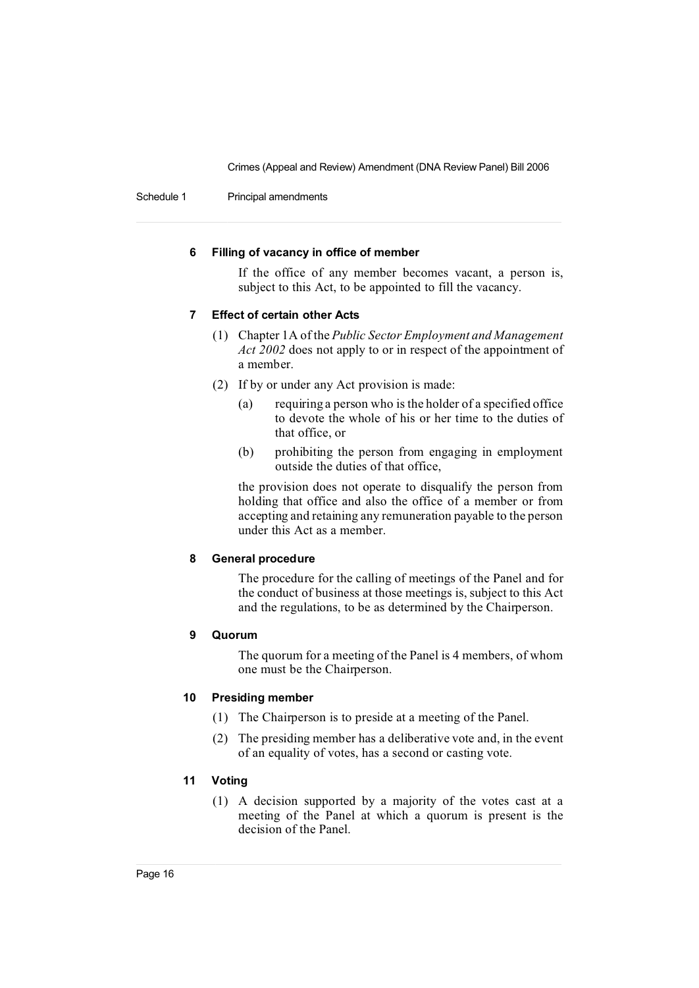Schedule 1 Principal amendments

## **6 Filling of vacancy in office of member**

If the office of any member becomes vacant, a person is, subject to this Act, to be appointed to fill the vacancy.

# **7 Effect of certain other Acts**

- (1) Chapter 1A of the *Public Sector Employment and Management Act 2002* does not apply to or in respect of the appointment of a member.
- (2) If by or under any Act provision is made:
	- (a) requiring a person who is the holder of a specified office to devote the whole of his or her time to the duties of that office, or
	- (b) prohibiting the person from engaging in employment outside the duties of that office,

the provision does not operate to disqualify the person from holding that office and also the office of a member or from accepting and retaining any remuneration payable to the person under this Act as a member.

# **8 General procedure**

The procedure for the calling of meetings of the Panel and for the conduct of business at those meetings is, subject to this Act and the regulations, to be as determined by the Chairperson.

#### **9 Quorum**

The quorum for a meeting of the Panel is 4 members, of whom one must be the Chairperson.

# **10 Presiding member**

- (1) The Chairperson is to preside at a meeting of the Panel.
- (2) The presiding member has a deliberative vote and, in the event of an equality of votes, has a second or casting vote.

# **11 Voting**

(1) A decision supported by a majority of the votes cast at a meeting of the Panel at which a quorum is present is the decision of the Panel.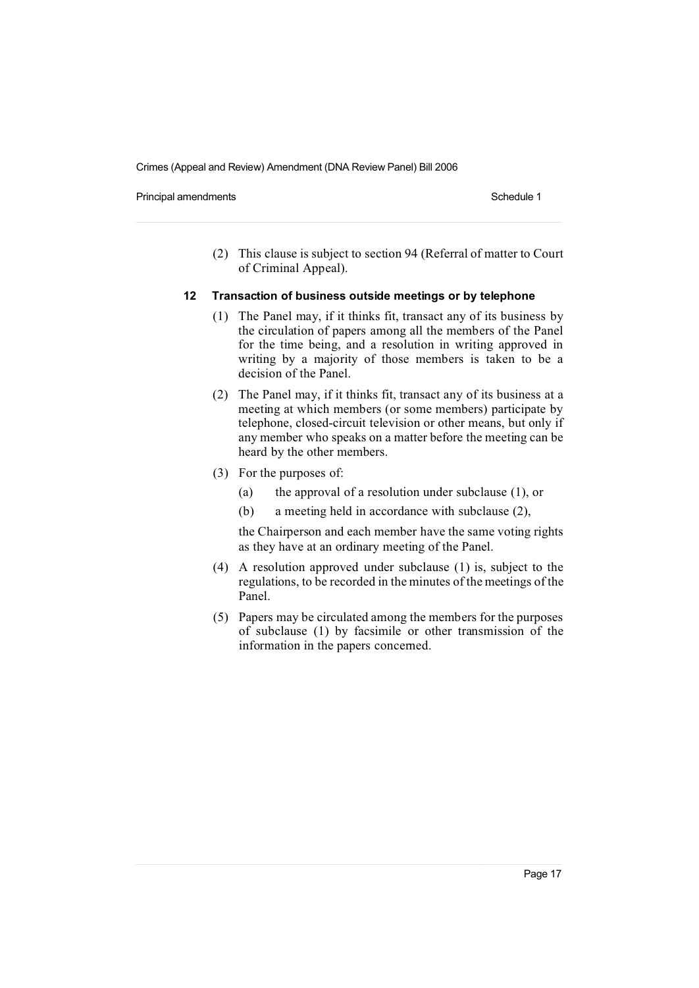Principal amendments **Schedule 1** Schedule 1

(2) This clause is subject to section 94 (Referral of matter to Court of Criminal Appeal).

#### **12 Transaction of business outside meetings or by telephone**

- (1) The Panel may, if it thinks fit, transact any of its business by the circulation of papers among all the members of the Panel for the time being, and a resolution in writing approved in writing by a majority of those members is taken to be a decision of the Panel.
- (2) The Panel may, if it thinks fit, transact any of its business at a meeting at which members (or some members) participate by telephone, closed-circuit television or other means, but only if any member who speaks on a matter before the meeting can be heard by the other members.
- (3) For the purposes of:
	- (a) the approval of a resolution under subclause (1), or
	- (b) a meeting held in accordance with subclause (2),

the Chairperson and each member have the same voting rights as they have at an ordinary meeting of the Panel.

- (4) A resolution approved under subclause (1) is, subject to the regulations, to be recorded in the minutes of the meetings of the Panel.
- (5) Papers may be circulated among the members for the purposes of subclause (1) by facsimile or other transmission of the information in the papers concerned.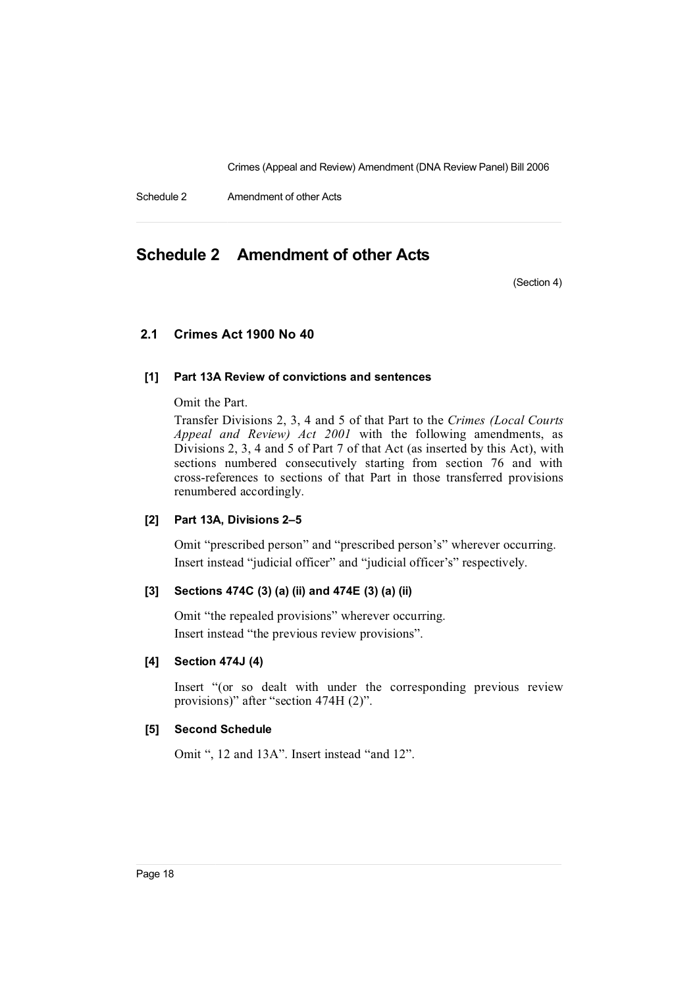Schedule 2 Amendment of other Acts

# **Schedule 2 Amendment of other Acts**

(Section 4)

# **2.1 Crimes Act 1900 No 40**

# **[1] Part 13A Review of convictions and sentences**

Omit the Part.

Transfer Divisions 2, 3, 4 and 5 of that Part to the *Crimes (Local Courts Appeal and Review) Act 2001* with the following amendments, as Divisions 2, 3, 4 and 5 of Part 7 of that Act (as inserted by this Act), with sections numbered consecutively starting from section 76 and with cross-references to sections of that Part in those transferred provisions renumbered accordingly.

# **[2] Part 13A, Divisions 2–5**

Omit "prescribed person" and "prescribed person's" wherever occurring. Insert instead "judicial officer" and "judicial officer's" respectively.

# **[3] Sections 474C (3) (a) (ii) and 474E (3) (a) (ii)**

Omit "the repealed provisions" wherever occurring. Insert instead "the previous review provisions".

## **[4] Section 474J (4)**

Insert "(or so dealt with under the corresponding previous review provisions)" after "section 474H (2)".

#### **[5] Second Schedule**

Omit ", 12 and 13A". Insert instead "and 12".